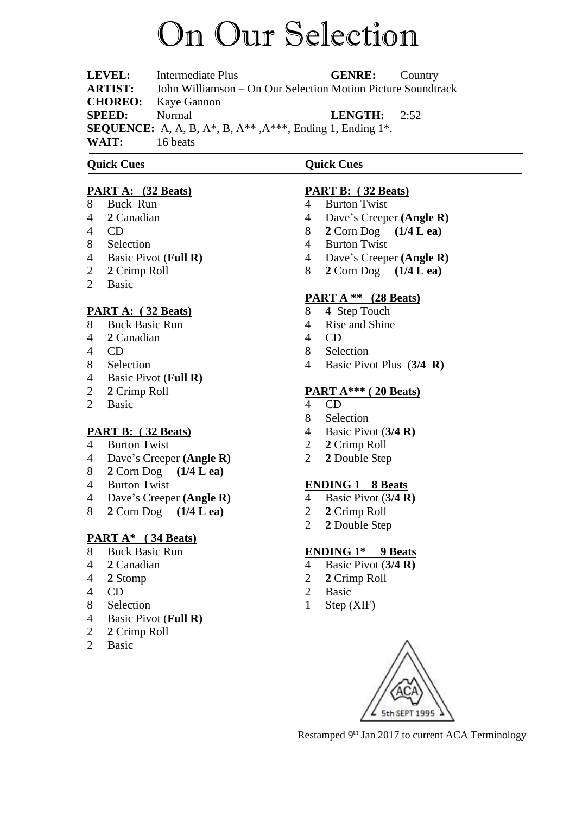# On Our Selection

**LEVEL:** Intermediate Plus **GENRE:** Country **ARTIST:** John Williamson – On Our Selection Motion Picture Soundtrack **CHOREO:** Kaye Gannon **SPEED:** Normal **LENGTH:** 2:52 **SEQUENCE:** A, A, B, A\*, B, A\*\* ,A\*\*\*, Ending 1, Ending 1\*. **WAIT:** 16 beats

# **Quick Cues**

## **PART A: (32 Beats)**

- 8 Buck Run
- 4 **2** Canadian
- 4 CD
- 8 Selection
- 4 Basic Pivot (**Full R)**
- 2 **2** Crimp Roll
- 2 Basic

## **PART A: ( 32 Beats)**

- 8 Buck Basic Run
- 4 **2** Canadian
- 4 CD
- 8 Selection
- 4 Basic Pivot (**Full R)**
- 2 **2** Crimp Roll
- 2 Basic

## **PART B: ( 32 Beats)**

- 4 Burton Twist
- 4 Dave's Creeper **(Angle R)**
- 8 **2** Corn Dog **(1/4 L ea)**
- 4 Burton Twist
- 4 Dave's Creeper **(Angle R)**
- 8 **2** Corn Dog **(1/4 L ea)**

## **PART A\* ( 34 Beats)**

- 8 Buck Basic Run
- 4 **2** Canadian
- 4 **2** Stomp
- 4 CD
- 8 Selection
- 4 Basic Pivot (**Full R)**
- 2 **2** Crimp Roll
- 2 Basic

# **PART B: ( 32 Beats)**

4 Burton Twist

**Quick Cues**

- 4 Dave's Creeper **(Angle R)**
- 8 **2** Corn Dog **(1/4 L ea)**
- 4 Burton Twist
- 4 Dave's Creeper **(Angle R)**
- 8 **2** Corn Dog **(1/4 L ea)**

# **PART A \*\* (28 Beats)**

- 8 **4** Step Touch
- 4 Rise and Shine
- 4 CD
- 8 Selection
- 4 Basic Pivot Plus (**3/4 R)**

## **PART A\*\*\* ( 20 Beats)**

- 4 CD
- 8 Selection
- 4 Basic Pivot (**3/4 R)**
- 2 **2** Crimp Roll
- 2 **2** Double Step

## **ENDING 1 8 Beats**

- 4 Basic Pivot (**3/4 R)**
- 2 **2** Crimp Roll
- 2 **2** Double Step

## **ENDING 1\* 9 Beats**

- 4 Basic Pivot (**3/4 R)**
- 2 **2** Crimp Roll
- 2 Basic
- 1 Step (XIF)



Restamped 9<sup>th</sup> Jan 2017 to current ACA Terminology